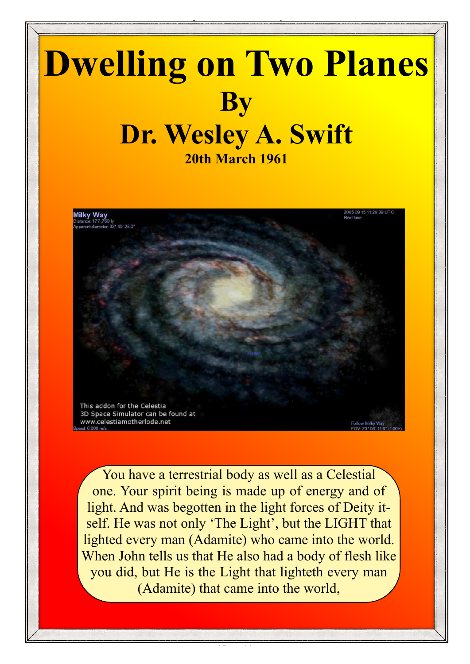# **Dwelling on Two Planes By Dr. Wesley A. Swift 20th March 1961**

Dwelling on Two Planes - Wesley Swift

This addon for the Celestia 3D Space Simulator can be found at www.celestiamotherlode.net

You have a terrestrial body as well as a Celestial one. Your spirit being is made up of energy and of light. And was begotten in the light forces of Deity itself. He was not only 'The Light', but the LIGHT that lighted every man (Adamite) who came into the world. When John tells us that He also had a body of flesh like you did, but He is the Light that lighteth every man (Adamite) that came into the world,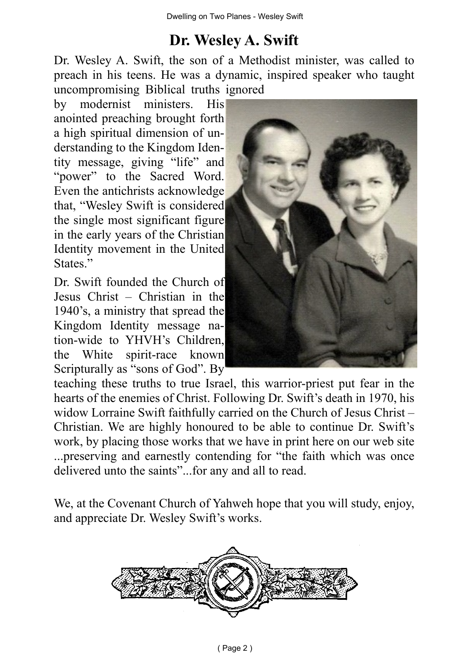### **Dr. Wesley A. Swift**

Dr. Wesley A. Swift, the son of a Methodist minister, was called to preach in his teens. He was a dynamic, inspired speaker who taught uncompromising Biblical truths ignored

by modernist ministers. His anointed preaching brought forth a high spiritual dimension of understanding to the Kingdom Identity message, giving "life" and "power" to the Sacred Word. Even the antichrists acknowledge that, "Wesley Swift is considered the single most significant figure in the early years of the Christian Identity movement in the United States."

Dr. Swift founded the Church of Jesus Christ – Christian in the 1940's, a ministry that spread the Kingdom Identity message nation-wide to YHVH's Children, the White spirit-race known Scripturally as "sons of God". By



teaching these truths to true Israel, this warrior-priest put fear in the hearts of the enemies of Christ. Following Dr. Swift's death in 1970, his widow Lorraine Swift faithfully carried on the Church of Jesus Christ – Christian. We are highly honoured to be able to continue Dr. Swift's work, by placing those works that we have in print here on our web site ...preserving and earnestly contending for "the faith which was once delivered unto the saints"...for any and all to read.

We, at the Covenant Church of Yahweh hope that you will study, enjoy, and appreciate Dr. Wesley Swift's works.

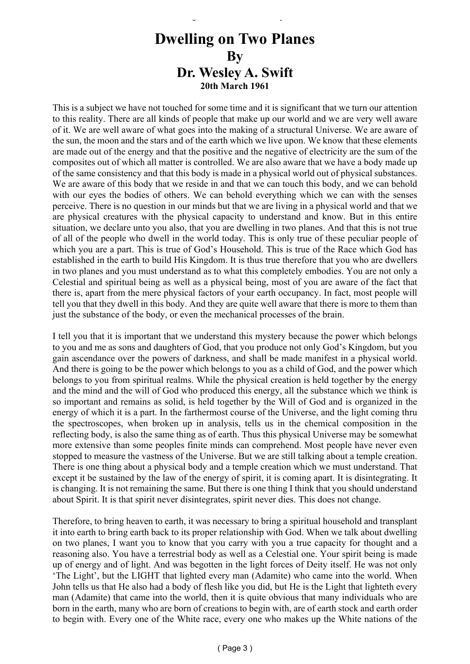### **Dwelling on Two Planes By Dr. Wesley A. Swift 20th March 1961**

Dwelling on Two Planes - Wesley Swift

This is a subject we have not touched for some time and it is significant that we turn our attention to this reality. There are all kinds of people that make up our world and we are very well aware of it. We are well aware of what goes into the making of a structural Universe. We are aware of the sun, the moon and the stars and of the earth which we live upon. We know that these elements are made out of the energy and that the positive and the negative of electricity are the sum of the composites out of which all matter is controlled. We are also aware that we have a body made up of the same consistency and that this body is made in a physical world out of physical substances. We are aware of this body that we reside in and that we can touch this body, and we can behold with our eyes the bodies of others. We can behold everything which we can with the senses perceive. There is no question in our minds but that we are living in a physical world and that we are physical creatures with the physical capacity to understand and know. But in this entire situation, we declare unto you also, that you are dwelling in two planes. And that this is not true of all of the people who dwell in the world today. This is only true of these peculiar people of which you are a part. This is true of God's Household. This is true of the Race which God has established in the earth to build His Kingdom. It is thus true therefore that you who are dwellers in two planes and you must understand as to what this completely embodies. You are not only a Celestial and spiritual being as well as a physical being, most of you are aware of the fact that there is, apart from the mere physical factors of your earth occupancy. In fact, most people will tell you that they dwell in this body. And they are quite well aware that there is more to them than just the substance of the body, or even the mechanical processes of the brain.

I tell you that it is important that we understand this mystery because the power which belongs to you and me as sons and daughters of God, that you produce not only God's Kingdom, but you gain ascendance over the powers of darkness, and shall be made manifest in a physical world. And there is going to be the power which belongs to you as a child of God, and the power which belongs to you from spiritual realms. While the physical creation is held together by the energy and the mind and the will of God who produced this energy, all the substance which we think is so important and remains as solid, is held together by the Will of God and is organized in the energy of which it is a part. In the farthermost course of the Universe, and the light coming thru the spectroscopes, when broken up in analysis, tells us in the chemical composition in the reflecting body, is also the same thing as of earth. Thus this physical Universe may be somewhat more extensive than some peoples finite minds can comprehend. Most people have never even stopped to measure the vastness of the Universe. But we are still talking about a temple creation. There is one thing about a physical body and a temple creation which we must understand. That except it be sustained by the law of the energy of spirit, it is coming apart. It is disintegrating. It is changing. It is not remaining the same. But there is one thing I think that you should understand about Spirit. It is that spirit never disintegrates, spirit never dies. This does not change.

Therefore, to bring heaven to earth, it was necessary to bring a spiritual household and transplant it into earth to bring earth back to its proper relationship with God. When we talk about dwelling on two planes, I want you to know that you carry with you a true capacity for thought and a reasoning also. You have a terrestrial body as well as a Celestial one. Your spirit being is made up of energy and of light. And was begotten in the light forces of Deity itself. He was not only 'The Light', but the LIGHT that lighted every man (Adamite) who came into the world. When John tells us that He also had a body of flesh like you did, but He is the Light that lighteth every man (Adamite) that came into the world, then it is quite obvious that many individuals who are born in the earth, many who are born of creations to begin with, are of earth stock and earth order to begin with. Every one of the White race, every one who makes up the White nations of the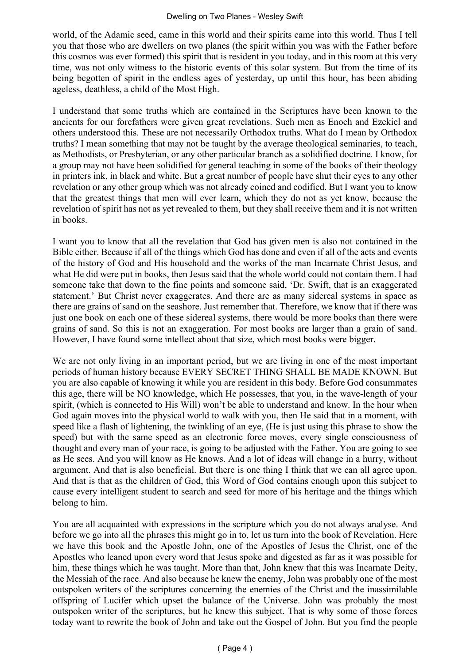world, of the Adamic seed, came in this world and their spirits came into this world. Thus I tell you that those who are dwellers on two planes (the spirit within you was with the Father before this cosmos was ever formed) this spirit that is resident in you today, and in this room at this very time, was not only witness to the historic events of this solar system. But from the time of its being begotten of spirit in the endless ages of yesterday, up until this hour, has been abiding ageless, deathless, a child of the Most High.

I understand that some truths which are contained in the Scriptures have been known to the ancients for our forefathers were given great revelations. Such men as Enoch and Ezekiel and others understood this. These are not necessarily Orthodox truths. What do I mean by Orthodox truths? I mean something that may not be taught by the average theological seminaries, to teach, as Methodists, or Presbyterian, or any other particular branch as a solidified doctrine. I know, for a group may not have been solidified for general teaching in some of the books of their theology in printers ink, in black and white. But a great number of people have shut their eyes to any other revelation or any other group which was not already coined and codified. But I want you to know that the greatest things that men will ever learn, which they do not as yet know, because the revelation of spirit has not as yet revealed to them, but they shall receive them and it is not written in books.

I want you to know that all the revelation that God has given men is also not contained in the Bible either. Because if all of the things which God has done and even if all of the acts and events of the history of God and His household and the works of the man Incarnate Christ Jesus, and what He did were put in books, then Jesus said that the whole world could not contain them. I had someone take that down to the fine points and someone said, 'Dr. Swift, that is an exaggerated statement.' But Christ never exaggerates. And there are as many sidereal systems in space as there are grains of sand on the seashore. Just remember that. Therefore, we know that if there was just one book on each one of these sidereal systems, there would be more books than there were grains of sand. So this is not an exaggeration. For most books are larger than a grain of sand. However, I have found some intellect about that size, which most books were bigger.

We are not only living in an important period, but we are living in one of the most important periods of human history because EVERY SECRET THING SHALL BE MADE KNOWN. But you are also capable of knowing it while you are resident in this body. Before God consummates this age, there will be NO knowledge, which He possesses, that you, in the wave-length of your spirit, (which is connected to His Will) won't be able to understand and know. In the hour when God again moves into the physical world to walk with you, then He said that in a moment, with speed like a flash of lightening, the twinkling of an eye, (He is just using this phrase to show the speed) but with the same speed as an electronic force moves, every single consciousness of thought and every man of your race, is going to be adjusted with the Father. You are going to see as He sees. And you will know as He knows. And a lot of ideas will change in a hurry, without argument. And that is also beneficial. But there is one thing I think that we can all agree upon. And that is that as the children of God, this Word of God contains enough upon this subject to cause every intelligent student to search and seed for more of his heritage and the things which belong to him.

You are all acquainted with expressions in the scripture which you do not always analyse. And before we go into all the phrases this might go in to, let us turn into the book of Revelation. Here we have this book and the Apostle John, one of the Apostles of Jesus the Christ, one of the Apostles who leaned upon every word that Jesus spoke and digested as far as it was possible for him, these things which he was taught. More than that, John knew that this was Incarnate Deity, the Messiah of the race. And also because he knew the enemy, John was probably one of the most outspoken writers of the scriptures concerning the enemies of the Christ and the inassimilable offspring of Lucifer which upset the balance of the Universe. John was probably the most outspoken writer of the scriptures, but he knew this subject. That is why some of those forces today want to rewrite the book of John and take out the Gospel of John. But you find the people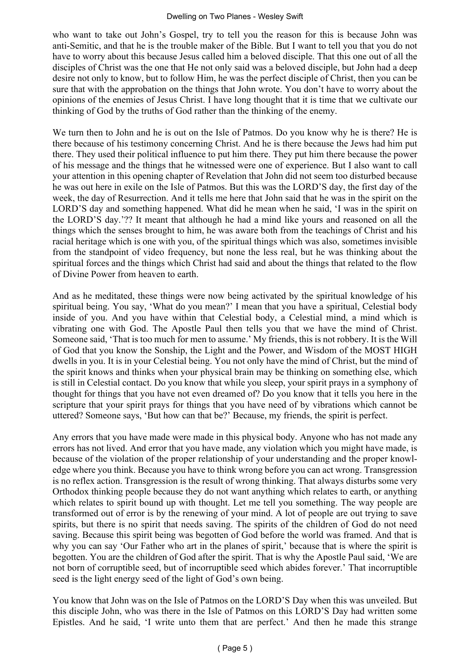#### Dwelling on Two Planes - Wesley Swift

who want to take out John's Gospel, try to tell you the reason for this is because John was anti-Semitic, and that he is the trouble maker of the Bible. But I want to tell you that you do not have to worry about this because Jesus called him a beloved disciple. That this one out of all the disciples of Christ was the one that He not only said was a beloved disciple, but John had a deep desire not only to know, but to follow Him, he was the perfect disciple of Christ, then you can be sure that with the approbation on the things that John wrote. You don't have to worry about the opinions of the enemies of Jesus Christ. I have long thought that it is time that we cultivate our thinking of God by the truths of God rather than the thinking of the enemy.

We turn then to John and he is out on the Isle of Patmos. Do you know why he is there? He is there because of his testimony concerning Christ. And he is there because the Jews had him put there. They used their political influence to put him there. They put him there because the power of his message and the things that he witnessed were one of experience. But I also want to call your attention in this opening chapter of Revelation that John did not seem too disturbed because he was out here in exile on the Isle of Patmos. But this was the LORD'S day, the first day of the week, the day of Resurrection. And it tells me here that John said that he was in the spirit on the LORD'S day and something happened. What did he mean when he said, 'I was in the spirit on the LORD'S day.'?? It meant that although he had a mind like yours and reasoned on all the things which the senses brought to him, he was aware both from the teachings of Christ and his racial heritage which is one with you, of the spiritual things which was also, sometimes invisible from the standpoint of video frequency, but none the less real, but he was thinking about the spiritual forces and the things which Christ had said and about the things that related to the flow of Divine Power from heaven to earth.

And as he meditated, these things were now being activated by the spiritual knowledge of his spiritual being. You say, 'What do you mean?' I mean that you have a spiritual, Celestial body inside of you. And you have within that Celestial body, a Celestial mind, a mind which is vibrating one with God. The Apostle Paul then tells you that we have the mind of Christ. Someone said, 'That is too much for men to assume.' My friends, this is not robbery. It is the Will of God that you know the Sonship, the Light and the Power, and Wisdom of the MOST HIGH dwells in you. It is in your Celestial being. You not only have the mind of Christ, but the mind of the spirit knows and thinks when your physical brain may be thinking on something else, which is still in Celestial contact. Do you know that while you sleep, your spirit prays in a symphony of thought for things that you have not even dreamed of? Do you know that it tells you here in the scripture that your spirit prays for things that you have need of by vibrations which cannot be uttered? Someone says, 'But how can that be?' Because, my friends, the spirit is perfect.

Any errors that you have made were made in this physical body. Anyone who has not made any errors has not lived. And error that you have made, any violation which you might have made, is because of the violation of the proper relationship of your understanding and the proper knowledge where you think. Because you have to think wrong before you can act wrong. Transgression is no reflex action. Transgression is the result of wrong thinking. That always disturbs some very Orthodox thinking people because they do not want anything which relates to earth, or anything which relates to spirit bound up with thought. Let me tell you something. The way people are transformed out of error is by the renewing of your mind. A lot of people are out trying to save spirits, but there is no spirit that needs saving. The spirits of the children of God do not need saving. Because this spirit being was begotten of God before the world was framed. And that is why you can say 'Our Father who art in the planes of spirit,' because that is where the spirit is begotten. You are the children of God after the spirit. That is why the Apostle Paul said, 'We are not born of corruptible seed, but of incorruptible seed which abides forever.' That incorruptible seed is the light energy seed of the light of God's own being.

You know that John was on the Isle of Patmos on the LORD'S Day when this was unveiled. But this disciple John, who was there in the Isle of Patmos on this LORD'S Day had written some Epistles. And he said, 'I write unto them that are perfect.' And then he made this strange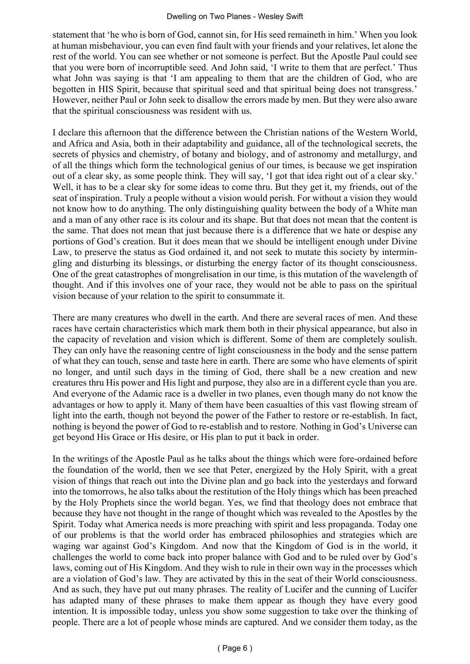#### Dwelling on Two Planes - Wesley Swift

statement that 'he who is born of God, cannot sin, for His seed remaineth in him.' When you look at human misbehaviour, you can even find fault with your friends and your relatives, let alone the rest of the world. You can see whether or not someone is perfect. But the Apostle Paul could see that you were born of incorruptible seed. And John said, 'I write to them that are perfect.' Thus what John was saying is that 'I am appealing to them that are the children of God, who are begotten in HIS Spirit, because that spiritual seed and that spiritual being does not transgress.' However, neither Paul or John seek to disallow the errors made by men. But they were also aware that the spiritual consciousness was resident with us.

I declare this afternoon that the difference between the Christian nations of the Western World, and Africa and Asia, both in their adaptability and guidance, all of the technological secrets, the secrets of physics and chemistry, of botany and biology, and of astronomy and metallurgy, and of all the things which form the technological genius of our times, is because we get inspiration out of a clear sky, as some people think. They will say, 'I got that idea right out of a clear sky.' Well, it has to be a clear sky for some ideas to come thru. But they get it, my friends, out of the seat of inspiration. Truly a people without a vision would perish. For without a vision they would not know how to do anything. The only distinguishing quality between the body of a White man and a man of any other race is its colour and its shape. But that does not mean that the content is the same. That does not mean that just because there is a difference that we hate or despise any portions of God's creation. But it does mean that we should be intelligent enough under Divine Law, to preserve the status as God ordained it, and not seek to mutate this society by intermingling and disturbing its blessings, or disturbing the energy factor of its thought consciousness. One of the great catastrophes of mongrelisation in our time, is this mutation of the wavelength of thought. And if this involves one of your race, they would not be able to pass on the spiritual vision because of your relation to the spirit to consummate it.

There are many creatures who dwell in the earth. And there are several races of men. And these races have certain characteristics which mark them both in their physical appearance, but also in the capacity of revelation and vision which is different. Some of them are completely soulish. They can only have the reasoning centre of light consciousness in the body and the sense pattern of what they can touch, sense and taste here in earth. There are some who have elements of spirit no longer, and until such days in the timing of God, there shall be a new creation and new creatures thru His power and His light and purpose, they also are in a different cycle than you are. And everyone of the Adamic race is a dweller in two planes, even though many do not know the advantages or how to apply it. Many of them have been casualties of this vast flowing stream of light into the earth, though not beyond the power of the Father to restore or re-establish. In fact, nothing is beyond the power of God to re-establish and to restore. Nothing in God's Universe can get beyond His Grace or His desire, or His plan to put it back in order.

In the writings of the Apostle Paul as he talks about the things which were fore-ordained before the foundation of the world, then we see that Peter, energized by the Holy Spirit, with a great vision of things that reach out into the Divine plan and go back into the yesterdays and forward into the tomorrows, he also talks about the restitution of the Holy things which has been preached by the Holy Prophets since the world began. Yes, we find that theology does not embrace that because they have not thought in the range of thought which was revealed to the Apostles by the Spirit. Today what America needs is more preaching with spirit and less propaganda. Today one of our problems is that the world order has embraced philosophies and strategies which are waging war against God's Kingdom. And now that the Kingdom of God is in the world, it challenges the world to come back into proper balance with God and to be ruled over by God's laws, coming out of His Kingdom. And they wish to rule in their own way in the processes which are a violation of God's law. They are activated by this in the seat of their World consciousness. And as such, they have put out many phrases. The reality of Lucifer and the cunning of Lucifer has adapted many of these phrases to make them appear as though they have every good intention. It is impossible today, unless you show some suggestion to take over the thinking of people. There are a lot of people whose minds are captured. And we consider them today, as the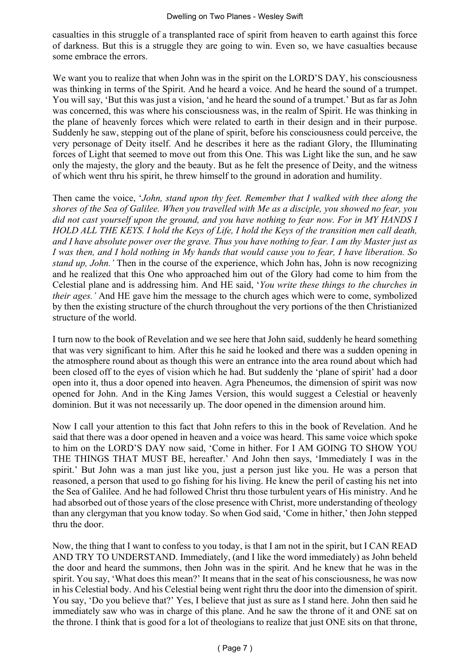casualties in this struggle of a transplanted race of spirit from heaven to earth against this force of darkness. But this is a struggle they are going to win. Even so, we have casualties because some embrace the errors.

We want you to realize that when John was in the spirit on the LORD'S DAY, his consciousness was thinking in terms of the Spirit. And he heard a voice. And he heard the sound of a trumpet. You will say, 'But this was just a vision, 'and he heard the sound of a trumpet.' But as far as John was concerned, this was where his consciousness was, in the realm of Spirit. He was thinking in the plane of heavenly forces which were related to earth in their design and in their purpose. Suddenly he saw, stepping out of the plane of spirit, before his consciousness could perceive, the very personage of Deity itself. And he describes it here as the radiant Glory, the Illuminating forces of Light that seemed to move out from this One. This was Light like the sun, and he saw only the majesty, the glory and the beauty. But as he felt the presence of Deity, and the witness of which went thru his spirit, he threw himself to the ground in adoration and humility.

Then came the voice, '*John, stand upon thy feet. Remember that I walked with thee along the shores of the Sea of Galilee. When you travelled with Me as a disciple, you showed no fear, you did not cast yourself upon the ground, and you have nothing to fear now. For in MY HANDS I HOLD ALL THE KEYS. I hold the Keys of Life, I hold the Keys of the transition men call death, and I have absolute power over the grave. Thus you have nothing to fear. I am thy Master just as I was then, and I hold nothing in My hands that would cause you to fear, I have liberation. So stand up, John.'* Then in the course of the experience, which John has, John is now recognizing and he realized that this One who approached him out of the Glory had come to him from the Celestial plane and is addressing him. And HE said, '*You write these things to the churches in their ages.'* And HE gave him the message to the church ages which were to come, symbolized by then the existing structure of the church throughout the very portions of the then Christianized structure of the world.

I turn now to the book of Revelation and we see here that John said, suddenly he heard something that was very significant to him. After this he said he looked and there was a sudden opening in the atmosphere round about as though this were an entrance into the area round about which had been closed off to the eyes of vision which he had. But suddenly the 'plane of spirit' had a door open into it, thus a door opened into heaven. Agra Pheneumos, the dimension of spirit was now opened for John. And in the King James Version, this would suggest a Celestial or heavenly dominion. But it was not necessarily up. The door opened in the dimension around him.

Now I call your attention to this fact that John refers to this in the book of Revelation. And he said that there was a door opened in heaven and a voice was heard. This same voice which spoke to him on the LORD'S DAY now said, 'Come in hither. For I AM GOING TO SHOW YOU THE THINGS THAT MUST BE, hereafter.' And John then says, 'Immediately I was in the spirit.' But John was a man just like you, just a person just like you. He was a person that reasoned, a person that used to go fishing for his living. He knew the peril of casting his net into the Sea of Galilee. And he had followed Christ thru those turbulent years of His ministry. And he had absorbed out of those years of the close presence with Christ, more understanding of theology than any clergyman that you know today. So when God said, 'Come in hither,' then John stepped thru the door.

Now, the thing that I want to confess to you today, is that I am not in the spirit, but I CAN READ AND TRY TO UNDERSTAND. Immediately, (and I like the word immediately) as John beheld the door and heard the summons, then John was in the spirit. And he knew that he was in the spirit. You say, 'What does this mean?' It means that in the seat of his consciousness, he was now in his Celestial body. And his Celestial being went right thru the door into the dimension of spirit. You say, 'Do you believe that?' Yes, I believe that just as sure as I stand here. John then said he immediately saw who was in charge of this plane. And he saw the throne of it and ONE sat on the throne. I think that is good for a lot of theologians to realize that just ONE sits on that throne,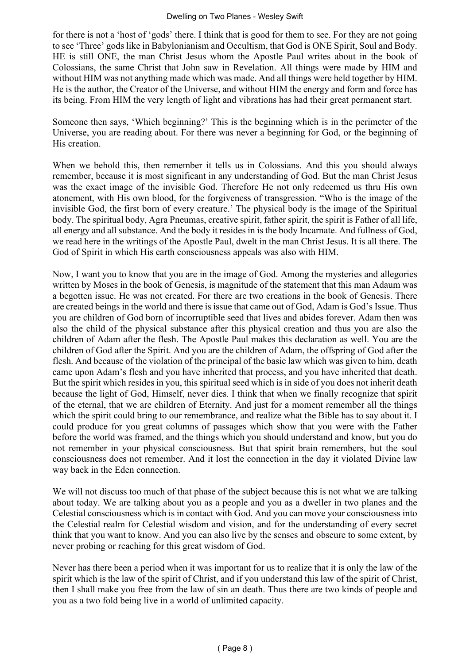for there is not a 'host of 'gods' there. I think that is good for them to see. For they are not going to see 'Three' gods like in Babylonianism and Occultism, that God is ONE Spirit, Soul and Body. HE is still ONE, the man Christ Jesus whom the Apostle Paul writes about in the book of Colossians, the same Christ that John saw in Revelation. All things were made by HIM and without HIM was not anything made which was made. And all things were held together by HIM. He is the author, the Creator of the Universe, and without HIM the energy and form and force has its being. From HIM the very length of light and vibrations has had their great permanent start.

Someone then says, 'Which beginning?' This is the beginning which is in the perimeter of the Universe, you are reading about. For there was never a beginning for God, or the beginning of His creation.

When we behold this, then remember it tells us in Colossians. And this you should always remember, because it is most significant in any understanding of God. But the man Christ Jesus was the exact image of the invisible God. Therefore He not only redeemed us thru His own atonement, with His own blood, for the forgiveness of transgression. "Who is the image of the invisible God, the first born of every creature.' The physical body is the image of the Spiritual body. The spiritual body, Agra Pneumas, creative spirit, father spirit, the spirit is Father of all life, all energy and all substance. And the body it resides in is the body Incarnate. And fullness of God, we read here in the writings of the Apostle Paul, dwelt in the man Christ Jesus. It is all there. The God of Spirit in which His earth consciousness appeals was also with HIM.

Now, I want you to know that you are in the image of God. Among the mysteries and allegories written by Moses in the book of Genesis, is magnitude of the statement that this man Adaum was a begotten issue. He was not created. For there are two creations in the book of Genesis. There are created beings in the world and there is issue that came out of God, Adam is God's Issue. Thus you are children of God born of incorruptible seed that lives and abides forever. Adam then was also the child of the physical substance after this physical creation and thus you are also the children of Adam after the flesh. The Apostle Paul makes this declaration as well. You are the children of God after the Spirit. And you are the children of Adam, the offspring of God after the flesh. And because of the violation of the principal of the basic law which was given to him, death came upon Adam's flesh and you have inherited that process, and you have inherited that death. But the spirit which resides in you, this spiritual seed which is in side of you does not inherit death because the light of God, Himself, never dies. I think that when we finally recognize that spirit of the eternal, that we are children of Eternity. And just for a moment remember all the things which the spirit could bring to our remembrance, and realize what the Bible has to say about it. I could produce for you great columns of passages which show that you were with the Father before the world was framed, and the things which you should understand and know, but you do not remember in your physical consciousness. But that spirit brain remembers, but the soul consciousness does not remember. And it lost the connection in the day it violated Divine law way back in the Eden connection.

We will not discuss too much of that phase of the subject because this is not what we are talking about today. We are talking about you as a people and you as a dweller in two planes and the Celestial consciousness which is in contact with God. And you can move your consciousness into the Celestial realm for Celestial wisdom and vision, and for the understanding of every secret think that you want to know. And you can also live by the senses and obscure to some extent, by never probing or reaching for this great wisdom of God.

Never has there been a period when it was important for us to realize that it is only the law of the spirit which is the law of the spirit of Christ, and if you understand this law of the spirit of Christ, then I shall make you free from the law of sin an death. Thus there are two kinds of people and you as a two fold being live in a world of unlimited capacity.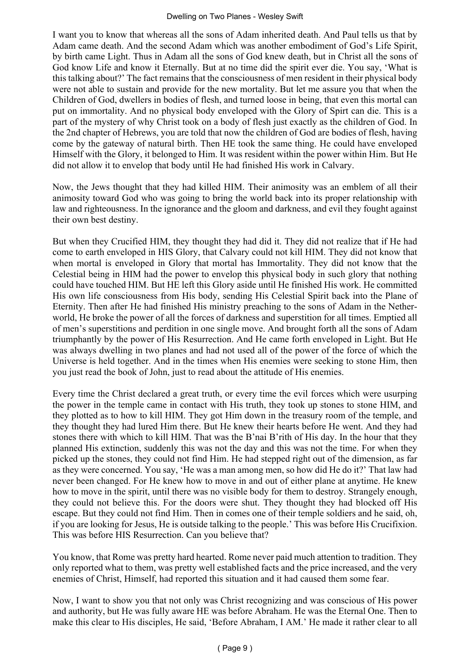I want you to know that whereas all the sons of Adam inherited death. And Paul tells us that by Adam came death. And the second Adam which was another embodiment of God's Life Spirit, by birth came Light. Thus in Adam all the sons of God knew death, but in Christ all the sons of God know Life and know it Eternally. But at no time did the spirit ever die. You say, 'What is this talking about?' The fact remains that the consciousness of men resident in their physical body were not able to sustain and provide for the new mortality. But let me assure you that when the Children of God, dwellers in bodies of flesh, and turned loose in being, that even this mortal can put on immortality. And no physical body enveloped with the Glory of Spirt can die. This is a part of the mystery of why Christ took on a body of flesh just exactly as the children of God. In the 2nd chapter of Hebrews, you are told that now the children of God are bodies of flesh, having come by the gateway of natural birth. Then HE took the same thing. He could have enveloped Himself with the Glory, it belonged to Him. It was resident within the power within Him. But He did not allow it to envelop that body until He had finished His work in Calvary.

Now, the Jews thought that they had killed HIM. Their animosity was an emblem of all their animosity toward God who was going to bring the world back into its proper relationship with law and righteousness. In the ignorance and the gloom and darkness, and evil they fought against their own best destiny.

But when they Crucified HIM, they thought they had did it. They did not realize that if He had come to earth enveloped in HIS Glory, that Calvary could not kill HIM. They did not know that when mortal is enveloped in Glory that mortal has Immortality. They did not know that the Celestial being in HIM had the power to envelop this physical body in such glory that nothing could have touched HIM. But HE left this Glory aside until He finished His work. He committed His own life consciousness from His body, sending His Celestial Spirit back into the Plane of Eternity. Then after He had finished His ministry preaching to the sons of Adam in the Netherworld, He broke the power of all the forces of darkness and superstition for all times. Emptied all of men's superstitions and perdition in one single move. And brought forth all the sons of Adam triumphantly by the power of His Resurrection. And He came forth enveloped in Light. But He was always dwelling in two planes and had not used all of the power of the force of which the Universe is held together. And in the times when His enemies were seeking to stone Him, then you just read the book of John, just to read about the attitude of His enemies.

Every time the Christ declared a great truth, or every time the evil forces which were usurping the power in the temple came in contact with His truth, they took up stones to stone HIM, and they plotted as to how to kill HIM. They got Him down in the treasury room of the temple, and they thought they had lured Him there. But He knew their hearts before He went. And they had stones there with which to kill HIM. That was the B'nai B'rith of His day. In the hour that they planned His extinction, suddenly this was not the day and this was not the time. For when they picked up the stones, they could not find Him. He had stepped right out of the dimension, as far as they were concerned. You say, 'He was a man among men, so how did He do it?' That law had never been changed. For He knew how to move in and out of either plane at anytime. He knew how to move in the spirit, until there was no visible body for them to destroy. Strangely enough, they could not believe this. For the doors were shut. They thought they had blocked off His escape. But they could not find Him. Then in comes one of their temple soldiers and he said, oh, if you are looking for Jesus, He is outside talking to the people.' This was before His Crucifixion. This was before HIS Resurrection. Can you believe that?

You know, that Rome was pretty hard hearted. Rome never paid much attention to tradition. They only reported what to them, was pretty well established facts and the price increased, and the very enemies of Christ, Himself, had reported this situation and it had caused them some fear.

Now, I want to show you that not only was Christ recognizing and was conscious of His power and authority, but He was fully aware HE was before Abraham. He was the Eternal One. Then to make this clear to His disciples, He said, 'Before Abraham, I AM.' He made it rather clear to all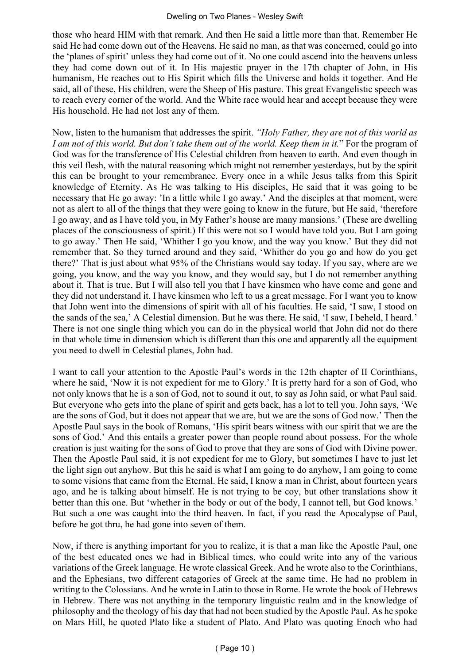those who heard HIM with that remark. And then He said a little more than that. Remember He said He had come down out of the Heavens. He said no man, as that was concerned, could go into the 'planes of spirit' unless they had come out of it. No one could ascend into the heavens unless they had come down out of it. In His majestic prayer in the 17th chapter of John, in His humanism, He reaches out to His Spirit which fills the Universe and holds it together. And He said, all of these, His children, were the Sheep of His pasture. This great Evangelistic speech was to reach every corner of the world. And the White race would hear and accept because they were His household. He had not lost any of them.

Now, listen to the humanism that addresses the spirit. *"Holy Father, they are not of this world as I am not of this world. But don't take them out of the world. Keep them in it.*" For the program of God was for the transference of His Celestial children from heaven to earth. And even though in this veil flesh, with the natural reasoning which might not remember yesterdays, but by the spirit this can be brought to your remembrance. Every once in a while Jesus talks from this Spirit knowledge of Eternity. As He was talking to His disciples, He said that it was going to be necessary that He go away: 'In a little while I go away.' And the disciples at that moment, were not as alert to all of the things that they were going to know in the future, but He said, 'therefore I go away, and as I have told you, in My Father's house are many mansions.' (These are dwelling places of the consciousness of spirit.) If this were not so I would have told you. But I am going to go away.' Then He said, 'Whither I go you know, and the way you know.' But they did not remember that. So they turned around and they said, 'Whither do you go and how do you get there?' That is just about what 95% of the Christians would say today. If you say, where are we going, you know, and the way you know, and they would say, but I do not remember anything about it. That is true. But I will also tell you that I have kinsmen who have come and gone and they did not understand it. I have kinsmen who left to us a great message. For I want you to know that John went into the dimensions of spirit with all of his faculties. He said, 'I saw, I stood on the sands of the sea,' A Celestial dimension. But he was there. He said, 'I saw, I beheld, I heard.' There is not one single thing which you can do in the physical world that John did not do there in that whole time in dimension which is different than this one and apparently all the equipment you need to dwell in Celestial planes, John had.

I want to call your attention to the Apostle Paul's words in the 12th chapter of II Corinthians, where he said, 'Now it is not expedient for me to Glory.' It is pretty hard for a son of God, who not only knows that he is a son of God, not to sound it out, to say as John said, or what Paul said. But everyone who gets into the plane of spirit and gets back, has a lot to tell you. John says, 'We are the sons of God, but it does not appear that we are, but we are the sons of God now.' Then the Apostle Paul says in the book of Romans, 'His spirit bears witness with our spirit that we are the sons of God.' And this entails a greater power than people round about possess. For the whole creation is just waiting for the sons of God to prove that they are sons of God with Divine power. Then the Apostle Paul said, it is not expedient for me to Glory, but sometimes I have to just let the light sign out anyhow. But this he said is what I am going to do anyhow, I am going to come to some visions that came from the Eternal. He said, I know a man in Christ, about fourteen years ago, and he is talking about himself. He is not trying to be coy, but other translations show it better than this one. But 'whether in the body or out of the body, I cannot tell, but God knows.' But such a one was caught into the third heaven. In fact, if you read the Apocalypse of Paul, before he got thru, he had gone into seven of them.

Now, if there is anything important for you to realize, it is that a man like the Apostle Paul, one of the best educated ones we had in Biblical times, who could write into any of the various variations of the Greek language. He wrote classical Greek. And he wrote also to the Corinthians, and the Ephesians, two different catagories of Greek at the same time. He had no problem in writing to the Colossians. And he wrote in Latin to those in Rome. He wrote the book of Hebrews in Hebrew. There was not anything in the temporary linguistic realm and in the knowledge of philosophy and the theology of his day that had not been studied by the Apostle Paul. As he spoke on Mars Hill, he quoted Plato like a student of Plato. And Plato was quoting Enoch who had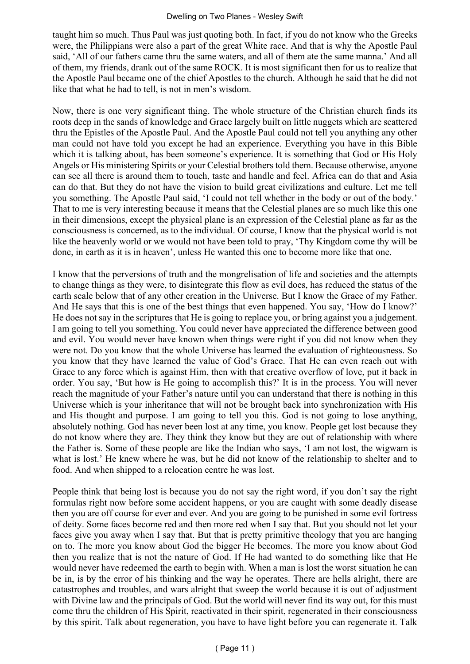taught him so much. Thus Paul was just quoting both. In fact, if you do not know who the Greeks were, the Philippians were also a part of the great White race. And that is why the Apostle Paul said, 'All of our fathers came thru the same waters, and all of them ate the same manna.' And all of them, my friends, drank out of the same ROCK. It is most significant then for us to realize that the Apostle Paul became one of the chief Apostles to the church. Although he said that he did not like that what he had to tell, is not in men's wisdom.

Now, there is one very significant thing. The whole structure of the Christian church finds its roots deep in the sands of knowledge and Grace largely built on little nuggets which are scattered thru the Epistles of the Apostle Paul. And the Apostle Paul could not tell you anything any other man could not have told you except he had an experience. Everything you have in this Bible which it is talking about, has been someone's experience. It is something that God or His Holy Angels or His ministering Spirits or your Celestial brothers told them. Because otherwise, anyone can see all there is around them to touch, taste and handle and feel. Africa can do that and Asia can do that. But they do not have the vision to build great civilizations and culture. Let me tell you something. The Apostle Paul said, 'I could not tell whether in the body or out of the body.' That to me is very interesting because it means that the Celestial planes are so much like this one in their dimensions, except the physical plane is an expression of the Celestial plane as far as the consciousness is concerned, as to the individual. Of course, I know that the physical world is not like the heavenly world or we would not have been told to pray, 'Thy Kingdom come thy will be done, in earth as it is in heaven', unless He wanted this one to become more like that one.

I know that the perversions of truth and the mongrelisation of life and societies and the attempts to change things as they were, to disintegrate this flow as evil does, has reduced the status of the earth scale below that of any other creation in the Universe. But I know the Grace of my Father. And He says that this is one of the best things that even happened. You say, 'How do I know?' He does not say in the scriptures that He is going to replace you, or bring against you a judgement. I am going to tell you something. You could never have appreciated the difference between good and evil. You would never have known when things were right if you did not know when they were not. Do you know that the whole Universe has learned the evaluation of righteousness. So you know that they have learned the value of God's Grace. That He can even reach out with Grace to any force which is against Him, then with that creative overflow of love, put it back in order. You say, 'But how is He going to accomplish this?' It is in the process. You will never reach the magnitude of your Father's nature until you can understand that there is nothing in this Universe which is your inheritance that will not be brought back into synchronization with His and His thought and purpose. I am going to tell you this. God is not going to lose anything, absolutely nothing. God has never been lost at any time, you know. People get lost because they do not know where they are. They think they know but they are out of relationship with where the Father is. Some of these people are like the Indian who says, 'I am not lost, the wigwam is what is lost.' He knew where he was, but he did not know of the relationship to shelter and to food. And when shipped to a relocation centre he was lost.

People think that being lost is because you do not say the right word, if you don't say the right formulas right now before some accident happens, or you are caught with some deadly disease then you are off course for ever and ever. And you are going to be punished in some evil fortress of deity. Some faces become red and then more red when I say that. But you should not let your faces give you away when I say that. But that is pretty primitive theology that you are hanging on to. The more you know about God the bigger He becomes. The more you know about God then you realize that is not the nature of God. If He had wanted to do something like that He would never have redeemed the earth to begin with. When a man is lost the worst situation he can be in, is by the error of his thinking and the way he operates. There are hells alright, there are catastrophes and troubles, and wars alright that sweep the world because it is out of adjustment with Divine law and the principals of God. But the world will never find its way out, for this must come thru the children of His Spirit, reactivated in their spirit, regenerated in their consciousness by this spirit. Talk about regeneration, you have to have light before you can regenerate it. Talk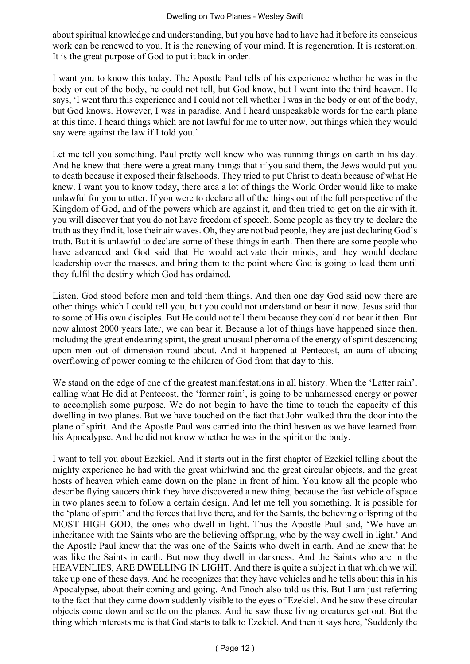about spiritual knowledge and understanding, but you have had to have had it before its conscious work can be renewed to you. It is the renewing of your mind. It is regeneration. It is restoration. It is the great purpose of God to put it back in order.

I want you to know this today. The Apostle Paul tells of his experience whether he was in the body or out of the body, he could not tell, but God know, but I went into the third heaven. He says, 'I went thru this experience and I could not tell whether I was in the body or out of the body, but God knows. However, I was in paradise. And I heard unspeakable words for the earth plane at this time. I heard things which are not lawful for me to utter now, but things which they would say were against the law if I told you.'

Let me tell you something. Paul pretty well knew who was running things on earth in his day. And he knew that there were a great many things that if you said them, the Jews would put you to death because it exposed their falsehoods. They tried to put Christ to death because of what He knew. I want you to know today, there area a lot of things the World Order would like to make unlawful for you to utter. If you were to declare all of the things out of the full perspective of the Kingdom of God, and of the powers which are against it, and then tried to get on the air with it, you will discover that you do not have freedom of speech. Some people as they try to declare the truth as they find it, lose their air waves. Oh, they are not bad people, they are just declaring God's truth. But it is unlawful to declare some of these things in earth. Then there are some people who have advanced and God said that He would activate their minds, and they would declare leadership over the masses, and bring them to the point where God is going to lead them until they fulfil the destiny which God has ordained.

Listen. God stood before men and told them things. And then one day God said now there are other things which I could tell you, but you could not understand or bear it now. Jesus said that to some of His own disciples. But He could not tell them because they could not bear it then. But now almost 2000 years later, we can bear it. Because a lot of things have happened since then, including the great endearing spirit, the great unusual phenoma of the energy of spirit descending upon men out of dimension round about. And it happened at Pentecost, an aura of abiding overflowing of power coming to the children of God from that day to this.

We stand on the edge of one of the greatest manifestations in all history. When the 'Latter rain', calling what He did at Pentecost, the 'former rain', is going to be unharnessed energy or power to accomplish some purpose. We do not begin to have the time to touch the capacity of this dwelling in two planes. But we have touched on the fact that John walked thru the door into the plane of spirit. And the Apostle Paul was carried into the third heaven as we have learned from his Apocalypse. And he did not know whether he was in the spirit or the body.

I want to tell you about Ezekiel. And it starts out in the first chapter of Ezekiel telling about the mighty experience he had with the great whirlwind and the great circular objects, and the great hosts of heaven which came down on the plane in front of him. You know all the people who describe flying saucers think they have discovered a new thing, because the fast vehicle of space in two planes seem to follow a certain design. And let me tell you something. It is possible for the 'plane of spirit' and the forces that live there, and for the Saints, the believing offspring of the MOST HIGH GOD, the ones who dwell in light. Thus the Apostle Paul said, 'We have an inheritance with the Saints who are the believing offspring, who by the way dwell in light.' And the Apostle Paul knew that the was one of the Saints who dwelt in earth. And he knew that he was like the Saints in earth. But now they dwell in darkness. And the Saints who are in the HEAVENLIES, ARE DWELLING IN LIGHT. And there is quite a subject in that which we will take up one of these days. And he recognizes that they have vehicles and he tells about this in his Apocalypse, about their coming and going. And Enoch also told us this. But I am just referring to the fact that they came down suddenly visible to the eyes of Ezekiel. And he saw these circular objects come down and settle on the planes. And he saw these living creatures get out. But the thing which interests me is that God starts to talk to Ezekiel. And then it says here, 'Suddenly the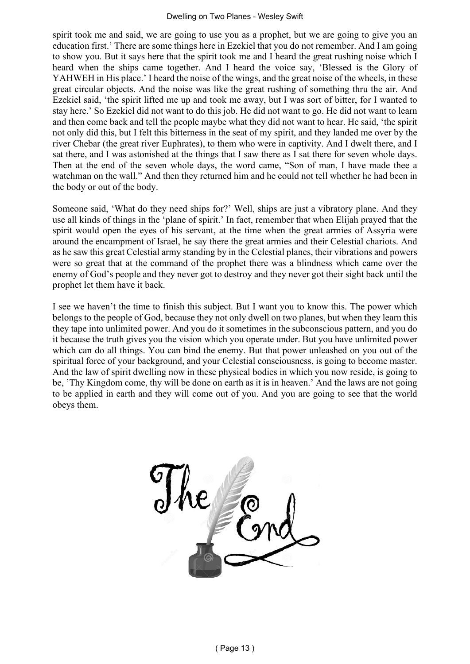#### Dwelling on Two Planes - Wesley Swift

spirit took me and said, we are going to use you as a prophet, but we are going to give you an education first.' There are some things here in Ezekiel that you do not remember. And I am going to show you. But it says here that the spirit took me and I heard the great rushing noise which I heard when the ships came together. And I heard the voice say, 'Blessed is the Glory of YAHWEH in His place.' I heard the noise of the wings, and the great noise of the wheels, in these great circular objects. And the noise was like the great rushing of something thru the air. And Ezekiel said, 'the spirit lifted me up and took me away, but I was sort of bitter, for I wanted to stay here.' So Ezekiel did not want to do this job. He did not want to go. He did not want to learn and then come back and tell the people maybe what they did not want to hear. He said, 'the spirit not only did this, but I felt this bitterness in the seat of my spirit, and they landed me over by the river Chebar (the great river Euphrates), to them who were in captivity. And I dwelt there, and I sat there, and I was astonished at the things that I saw there as I sat there for seven whole days. Then at the end of the seven whole days, the word came, "Son of man, I have made thee a watchman on the wall." And then they returned him and he could not tell whether he had been in the body or out of the body.

Someone said, 'What do they need ships for?' Well, ships are just a vibratory plane. And they use all kinds of things in the 'plane of spirit.' In fact, remember that when Elijah prayed that the spirit would open the eyes of his servant, at the time when the great armies of Assyria were around the encampment of Israel, he say there the great armies and their Celestial chariots. And as he saw this great Celestial army standing by in the Celestial planes, their vibrations and powers were so great that at the command of the prophet there was a blindness which came over the enemy of God's people and they never got to destroy and they never got their sight back until the prophet let them have it back.

I see we haven't the time to finish this subject. But I want you to know this. The power which belongs to the people of God, because they not only dwell on two planes, but when they learn this they tape into unlimited power. And you do it sometimes in the subconscious pattern, and you do it because the truth gives you the vision which you operate under. But you have unlimited power which can do all things. You can bind the enemy. But that power unleashed on you out of the spiritual force of your background, and your Celestial consciousness, is going to become master. And the law of spirit dwelling now in these physical bodies in which you now reside, is going to be, 'Thy Kingdom come, thy will be done on earth as it is in heaven.' And the laws are not going to be applied in earth and they will come out of you. And you are going to see that the world obeys them.